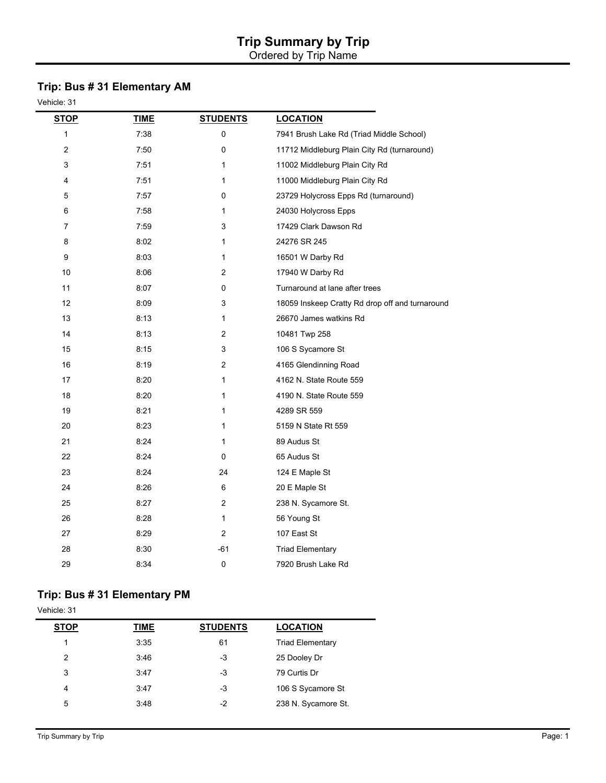# **Trip Summary by Trip**

Ordered by Trip Name

## **Trip: Bus # 31 Elementary AM**

Vehicle: 31

| <b>STOP</b>      | <b>TIME</b> | <b>STUDENTS</b> | <b>LOCATION</b>                                 |
|------------------|-------------|-----------------|-------------------------------------------------|
| 1                | 7:38        | 0               | 7941 Brush Lake Rd (Triad Middle School)        |
| $\boldsymbol{2}$ | 7:50        | 0               | 11712 Middleburg Plain City Rd (turnaround)     |
| 3                | 7:51        | $\mathbf{1}$    | 11002 Middleburg Plain City Rd                  |
| 4                | 7:51        | $\mathbf{1}$    | 11000 Middleburg Plain City Rd                  |
| 5                | 7:57        | 0               | 23729 Holycross Epps Rd (turnaround)            |
| 6                | 7:58        | $\mathbf{1}$    | 24030 Holycross Epps                            |
| 7                | 7:59        | 3               | 17429 Clark Dawson Rd                           |
| 8                | 8:02        | $\mathbf{1}$    | 24276 SR 245                                    |
| 9                | 8:03        | $\mathbf{1}$    | 16501 W Darby Rd                                |
| 10               | 8:06        | $\overline{2}$  | 17940 W Darby Rd                                |
| 11               | 8:07        | 0               | Turnaround at lane after trees                  |
| 12               | 8:09        | 3               | 18059 Inskeep Cratty Rd drop off and turnaround |
| 13               | 8:13        | $\mathbf{1}$    | 26670 James watkins Rd                          |
| 14               | 8:13        | 2               | 10481 Twp 258                                   |
| 15               | 8:15        | 3               | 106 S Sycamore St                               |
| 16               | 8:19        | $\overline{2}$  | 4165 Glendinning Road                           |
| 17               | 8:20        | 1               | 4162 N. State Route 559                         |
| 18               | 8:20        | $\mathbf{1}$    | 4190 N. State Route 559                         |
| 19               | 8:21        | 1               | 4289 SR 559                                     |
| 20               | 8:23        | 1               | 5159 N State Rt 559                             |
| 21               | 8:24        | $\mathbf{1}$    | 89 Audus St                                     |
| 22               | 8:24        | 0               | 65 Audus St                                     |
| 23               | 8:24        | 24              | 124 E Maple St                                  |
| 24               | 8:26        | 6               | 20 E Maple St                                   |
| 25               | 8:27        | $\overline{2}$  | 238 N. Sycamore St.                             |
| 26               | 8:28        | $\mathbf{1}$    | 56 Young St                                     |
| 27               | 8:29        | 2               | 107 East St                                     |
| 28               | 8:30        | -61             | <b>Triad Elementary</b>                         |
| 29               | 8:34        | $\pmb{0}$       | 7920 Brush Lake Rd                              |

#### **Trip: Bus # 31 Elementary PM**

Vehicle: 31 **STOP TIME STUDENTS LOCATION** 1 3:35 61 Triad Elementary 2 3:46 -3 25 Dooley Dr 3:47 -3 79 Curtis Dr 4 3:47 -3 106 S Sycamore St 5 3:48 3:48 -2 238 N. Sycamore St.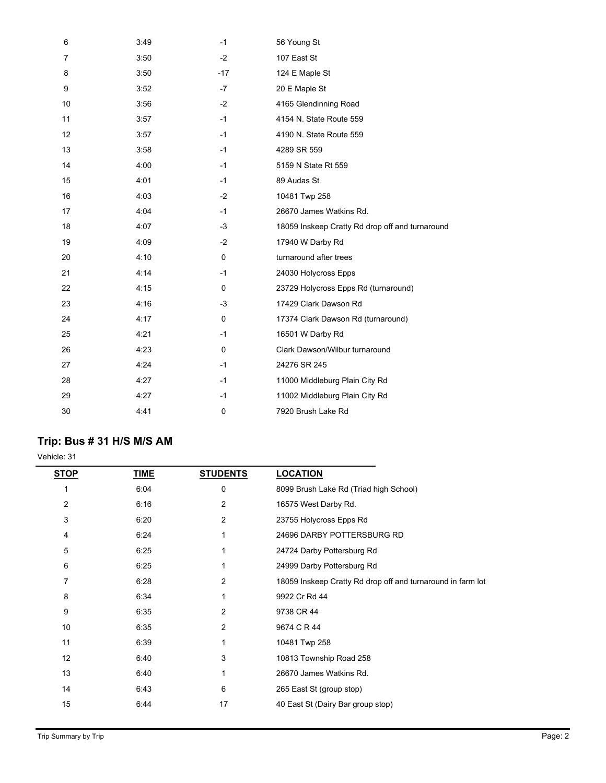| 6  | 3:49 | $-1$  | 56 Young St                                     |
|----|------|-------|-------------------------------------------------|
| 7  | 3:50 | $-2$  | 107 East St                                     |
| 8  | 3:50 | $-17$ | 124 E Maple St                                  |
| 9  | 3:52 | $-7$  | 20 E Maple St                                   |
| 10 | 3:56 | $-2$  | 4165 Glendinning Road                           |
| 11 | 3:57 | $-1$  | 4154 N. State Route 559                         |
| 12 | 3:57 | $-1$  | 4190 N. State Route 559                         |
| 13 | 3:58 | $-1$  | 4289 SR 559                                     |
| 14 | 4:00 | $-1$  | 5159 N State Rt 559                             |
| 15 | 4:01 | $-1$  | 89 Audas St                                     |
| 16 | 4:03 | $-2$  | 10481 Twp 258                                   |
| 17 | 4:04 | $-1$  | 26670 James Watkins Rd.                         |
| 18 | 4:07 | $-3$  | 18059 Inskeep Cratty Rd drop off and turnaround |
| 19 | 4:09 | $-2$  | 17940 W Darby Rd                                |
| 20 | 4:10 | 0     | turnaround after trees                          |
| 21 | 4:14 | $-1$  | 24030 Holycross Epps                            |
| 22 | 4:15 | 0     | 23729 Holycross Epps Rd (turnaround)            |
| 23 | 4:16 | $-3$  | 17429 Clark Dawson Rd                           |
| 24 | 4:17 | 0     | 17374 Clark Dawson Rd (turnaround)              |
| 25 | 4:21 | $-1$  | 16501 W Darby Rd                                |
| 26 | 4.23 | 0     | Clark Dawson/Wilbur turnaround                  |
| 27 | 4:24 | $-1$  | 24276 SR 245                                    |
| 28 | 4:27 | $-1$  | 11000 Middleburg Plain City Rd                  |
| 29 | 4:27 | $-1$  | 11002 Middleburg Plain City Rd                  |
| 30 | 4:41 | 0     | 7920 Brush Lake Rd                              |

## **Trip: Bus # 31 H/S M/S AM**

Vehicle: 31

| STOP | TIME | <b>STUDENTS</b> | <b>LOCATION</b>                                             |
|------|------|-----------------|-------------------------------------------------------------|
|      | 6:04 | 0               | 8099 Brush Lake Rd (Triad high School)                      |
| 2    | 6:16 | 2               | 16575 West Darby Rd.                                        |
| 3    | 6:20 | $\overline{2}$  | 23755 Holycross Epps Rd                                     |
| 4    | 6:24 | 1               | 24696 DARBY POTTERSBURG RD                                  |
| 5    | 6:25 | 1               | 24724 Darby Pottersburg Rd                                  |
| 6    | 6:25 | 1               | 24999 Darby Pottersburg Rd                                  |
| 7    | 6:28 | 2               | 18059 Inskeep Cratty Rd drop off and turnaround in farm lot |
| 8    | 6:34 | 1               | 9922 Cr Rd 44                                               |
| 9    | 6:35 | 2               | 9738 CR 44                                                  |
| 10   | 6:35 | 2               | 9674 C R 44                                                 |
| 11   | 6:39 | 1               | 10481 Twp 258                                               |
| 12   | 6:40 | 3               | 10813 Township Road 258                                     |
| 13   | 6:40 | 1               | 26670 James Watkins Rd.                                     |
| 14   | 6:43 | 6               | 265 East St (group stop)                                    |
| 15   | 6:44 | 17              | 40 East St (Dairy Bar group stop)                           |
|      |      |                 |                                                             |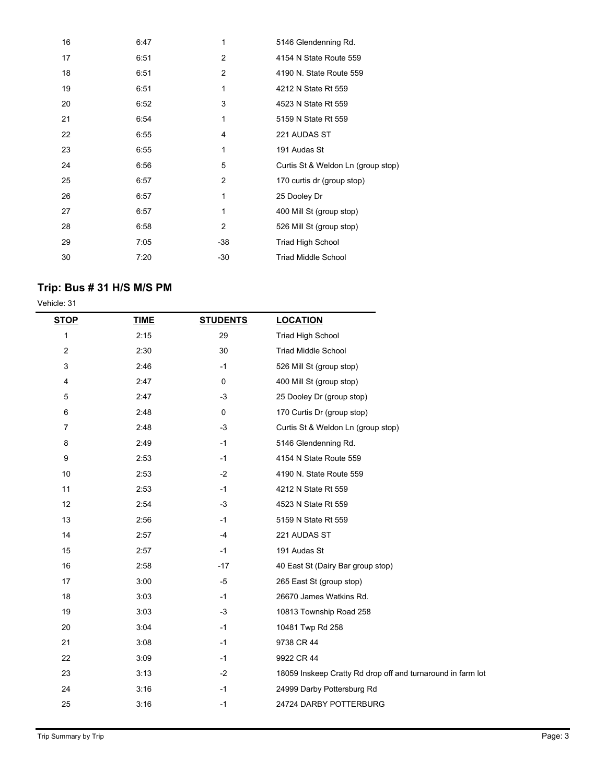| 16 | 6:47 | 1              | 5146 Glendenning Rd.               |
|----|------|----------------|------------------------------------|
| 17 | 6:51 | $\overline{2}$ | 4154 N State Route 559             |
| 18 | 6:51 | 2              | 4190 N. State Route 559            |
| 19 | 6:51 | 1              | 4212 N State Rt 559                |
| 20 | 6:52 | 3              | 4523 N State Rt 559                |
| 21 | 6:54 | 1              | 5159 N State Rt 559                |
| 22 | 6:55 | 4              | 221 AUDAS ST                       |
| 23 | 6:55 | 1              | 191 Audas St                       |
| 24 | 6:56 | 5              | Curtis St & Weldon Ln (group stop) |
| 25 | 6:57 | 2              | 170 curtis dr (group stop)         |
| 26 | 6:57 | 1              | 25 Dooley Dr                       |
| 27 | 6:57 | 1              | 400 Mill St (group stop)           |
| 28 | 6:58 | 2              | 526 Mill St (group stop)           |
| 29 | 7:05 | -38            | Triad High School                  |
| 30 | 7:20 | $-30$          | Triad Middle School                |

### **Trip: Bus # 31 H/S M/S PM**

Vehicle: 31

| <b>STOP</b>      | <b>TIME</b> | <b>STUDENTS</b> | <b>LOCATION</b>                                             |
|------------------|-------------|-----------------|-------------------------------------------------------------|
| $\mathbf{1}$     | 2:15        | 29              | <b>Triad High School</b>                                    |
| $\boldsymbol{2}$ | 2:30        | 30              | <b>Triad Middle School</b>                                  |
| 3                | 2:46        | $-1$            | 526 Mill St (group stop)                                    |
| 4                | 2:47        | 0               | 400 Mill St (group stop)                                    |
| 5                | 2:47        | $-3$            | 25 Dooley Dr (group stop)                                   |
| 6                | 2:48        | 0               | 170 Curtis Dr (group stop)                                  |
| $\overline{7}$   | 2:48        | $-3$            | Curtis St & Weldon Ln (group stop)                          |
| 8                | 2:49        | $-1$            | 5146 Glendenning Rd.                                        |
| 9                | 2:53        | $-1$            | 4154 N State Route 559                                      |
| 10               | 2:53        | $-2$            | 4190 N. State Route 559                                     |
| 11               | 2:53        | $-1$            | 4212 N State Rt 559                                         |
| 12               | 2:54        | $-3$            | 4523 N State Rt 559                                         |
| 13               | 2:56        | $-1$            | 5159 N State Rt 559                                         |
| 14               | 2:57        | -4              | 221 AUDAS ST                                                |
| 15               | 2:57        | $-1$            | 191 Audas St                                                |
| 16               | 2:58        | $-17$           | 40 East St (Dairy Bar group stop)                           |
| 17               | 3:00        | $-5$            | 265 East St (group stop)                                    |
| 18               | 3:03        | $-1$            | 26670 James Watkins Rd.                                     |
| 19               | 3:03        | $-3$            | 10813 Township Road 258                                     |
| 20               | 3:04        | $-1$            | 10481 Twp Rd 258                                            |
| 21               | 3:08        | $-1$            | 9738 CR 44                                                  |
| 22               | 3:09        | $-1$            | 9922 CR 44                                                  |
| 23               | 3:13        | $-2$            | 18059 Inskeep Cratty Rd drop off and turnaround in farm lot |
| 24               | 3:16        | $-1$            | 24999 Darby Pottersburg Rd                                  |
| 25               | 3:16        | $-1$            | 24724 DARBY POTTERBURG                                      |
|                  |             |                 |                                                             |